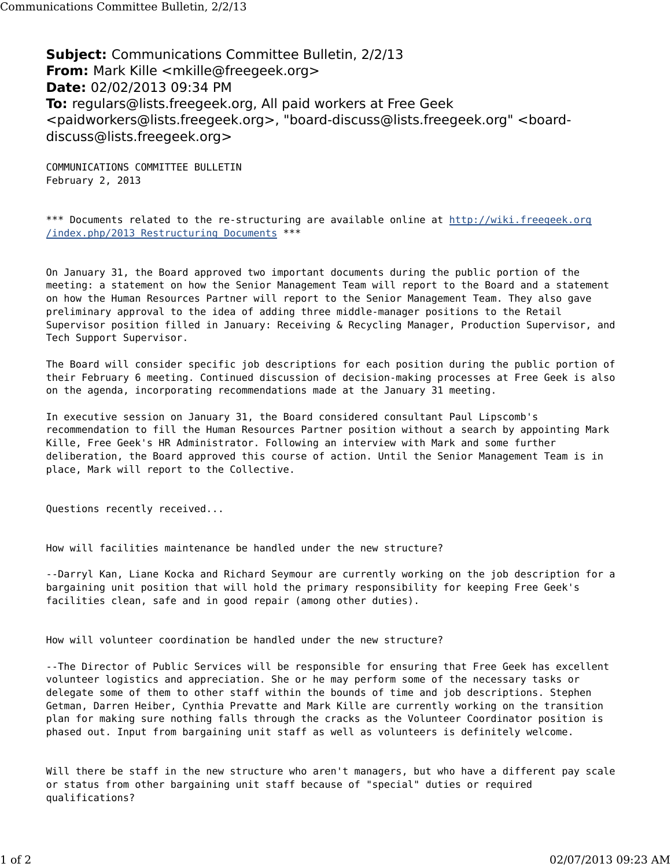**Subject:** Communications Committee Bulletin, 2/2/13 **From:** Mark Kille <mkille@freegeek.org> **Date:** 02/02/2013 09:34 PM **To:** regulars@lists.freegeek.org, All paid workers at Free Geek <paidworkers@lists.freegeek.org>, "board-discuss@lists.freegeek.org" <boarddiscuss@lists.freegeek.org>

COMMUNICATIONS COMMITTEE BULLETIN February 2, 2013

\*\*\* Documents related to the re-structuring are available online at http://wiki.freegeek.org /index.php/2013 Restructuring Documents \*\*\*

On January 31, the Board approved two important documents during the public portion of the meeting: a statement on how the Senior Management Team will report to the Board and a statement on how the Human Resources Partner will report to the Senior Management Team. They also gave preliminary approval to the idea of adding three middle-manager positions to the Retail Supervisor position filled in January: Receiving & Recycling Manager, Production Supervisor, and Tech Support Supervisor.

The Board will consider specific job descriptions for each position during the public portion of their February 6 meeting. Continued discussion of decision-making processes at Free Geek is also on the agenda, incorporating recommendations made at the January 31 meeting.

In executive session on January 31, the Board considered consultant Paul Lipscomb's recommendation to fill the Human Resources Partner position without a search by appointing Mark Kille, Free Geek's HR Administrator. Following an interview with Mark and some further deliberation, the Board approved this course of action. Until the Senior Management Team is in place, Mark will report to the Collective.

Questions recently received...

How will facilities maintenance be handled under the new structure?

--Darryl Kan, Liane Kocka and Richard Seymour are currently working on the job description for a bargaining unit position that will hold the primary responsibility for keeping Free Geek's facilities clean, safe and in good repair (among other duties).

How will volunteer coordination be handled under the new structure?

--The Director of Public Services will be responsible for ensuring that Free Geek has excellent volunteer logistics and appreciation. She or he may perform some of the necessary tasks or delegate some of them to other staff within the bounds of time and job descriptions. Stephen Getman, Darren Heiber, Cynthia Prevatte and Mark Kille are currently working on the transition plan for making sure nothing falls through the cracks as the Volunteer Coordinator position is phased out. Input from bargaining unit staff as well as volunteers is definitely welcome.

Will there be staff in the new structure who aren't managers, but who have a different pay scale or status from other bargaining unit staff because of "special" duties or required qualifications?